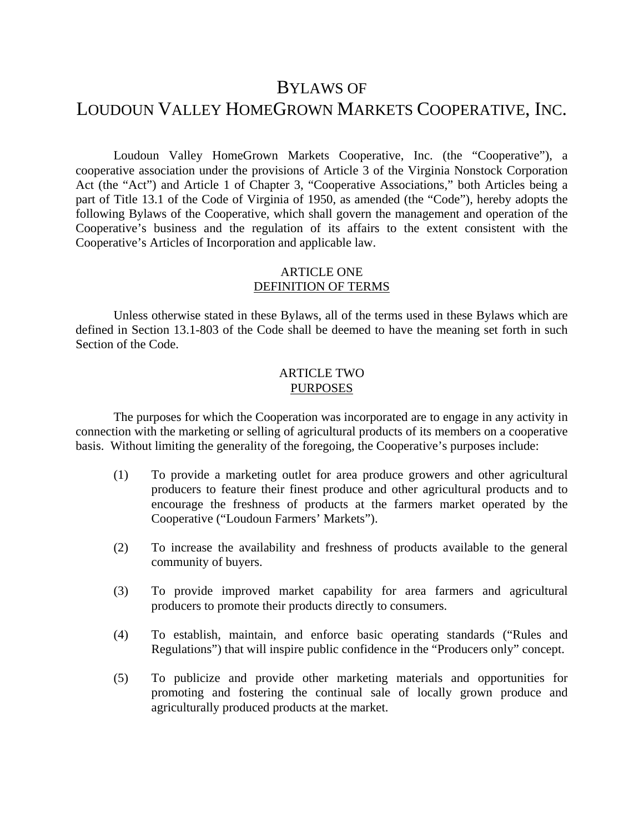# BYLAWS OF

# LOUDOUN VALLEY HOMEGROWN MARKETS COOPERATIVE, INC.

Loudoun Valley HomeGrown Markets Cooperative, Inc. (the "Cooperative"), a cooperative association under the provisions of Article 3 of the Virginia Nonstock Corporation Act (the "Act") and Article 1 of Chapter 3, "Cooperative Associations," both Articles being a part of Title 13.1 of the Code of Virginia of 1950, as amended (the "Code"), hereby adopts the following Bylaws of the Cooperative, which shall govern the management and operation of the Cooperative's business and the regulation of its affairs to the extent consistent with the Cooperative's Articles of Incorporation and applicable law.

## ARTICLE ONE DEFINITION OF TERMS

Unless otherwise stated in these Bylaws, all of the terms used in these Bylaws which are defined in Section 13.1-803 of the Code shall be deemed to have the meaning set forth in such Section of the Code.

#### ARTICLE TWO PURPOSES

The purposes for which the Cooperation was incorporated are to engage in any activity in connection with the marketing or selling of agricultural products of its members on a cooperative basis. Without limiting the generality of the foregoing, the Cooperative's purposes include:

- (1) To provide a marketing outlet for area produce growers and other agricultural producers to feature their finest produce and other agricultural products and to encourage the freshness of products at the farmers market operated by the Cooperative ("Loudoun Farmers' Markets").
- (2) To increase the availability and freshness of products available to the general community of buyers.
- (3) To provide improved market capability for area farmers and agricultural producers to promote their products directly to consumers.
- (4) To establish, maintain, and enforce basic operating standards ("Rules and Regulations") that will inspire public confidence in the "Producers only" concept.
- (5) To publicize and provide other marketing materials and opportunities for promoting and fostering the continual sale of locally grown produce and agriculturally produced products at the market.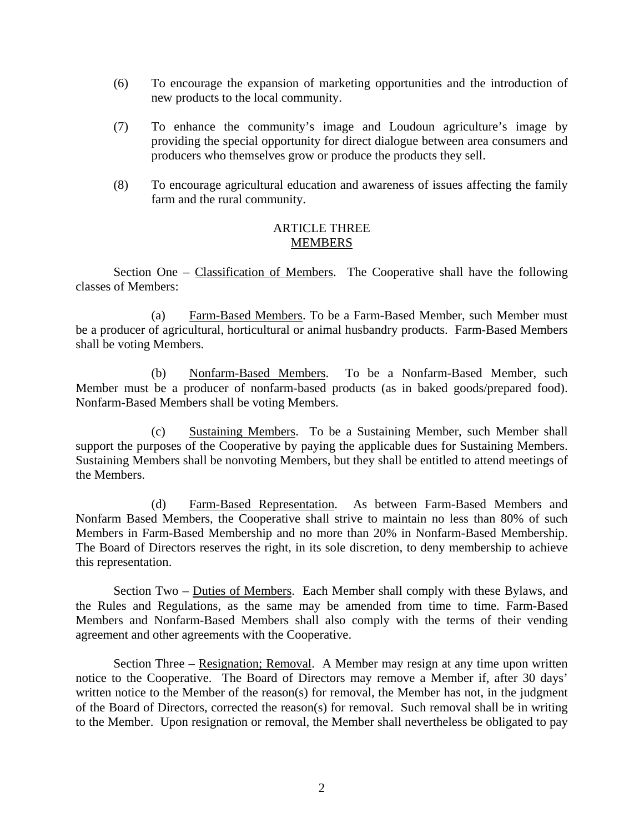- (6) To encourage the expansion of marketing opportunities and the introduction of new products to the local community.
- (7) To enhance the community's image and Loudoun agriculture's image by providing the special opportunity for direct dialogue between area consumers and producers who themselves grow or produce the products they sell.
- (8) To encourage agricultural education and awareness of issues affecting the family farm and the rural community.

## ARTICLE THREE MEMBERS

Section One – Classification of Members. The Cooperative shall have the following classes of Members:

(a) Farm-Based Members. To be a Farm-Based Member, such Member must be a producer of agricultural, horticultural or animal husbandry products. Farm-Based Members shall be voting Members.

(b) Nonfarm-Based Members. To be a Nonfarm-Based Member, such Member must be a producer of nonfarm-based products (as in baked goods/prepared food). Nonfarm-Based Members shall be voting Members.

(c) Sustaining Members. To be a Sustaining Member, such Member shall support the purposes of the Cooperative by paying the applicable dues for Sustaining Members. Sustaining Members shall be nonvoting Members, but they shall be entitled to attend meetings of the Members.

(d) Farm-Based Representation. As between Farm-Based Members and Nonfarm Based Members, the Cooperative shall strive to maintain no less than 80% of such Members in Farm-Based Membership and no more than 20% in Nonfarm-Based Membership. The Board of Directors reserves the right, in its sole discretion, to deny membership to achieve this representation.

Section Two – Duties of Members. Each Member shall comply with these Bylaws, and the Rules and Regulations, as the same may be amended from time to time. Farm-Based Members and Nonfarm-Based Members shall also comply with the terms of their vending agreement and other agreements with the Cooperative.

Section Three – Resignation; Removal. A Member may resign at any time upon written notice to the Cooperative. The Board of Directors may remove a Member if, after 30 days' written notice to the Member of the reason(s) for removal, the Member has not, in the judgment of the Board of Directors, corrected the reason(s) for removal. Such removal shall be in writing to the Member. Upon resignation or removal, the Member shall nevertheless be obligated to pay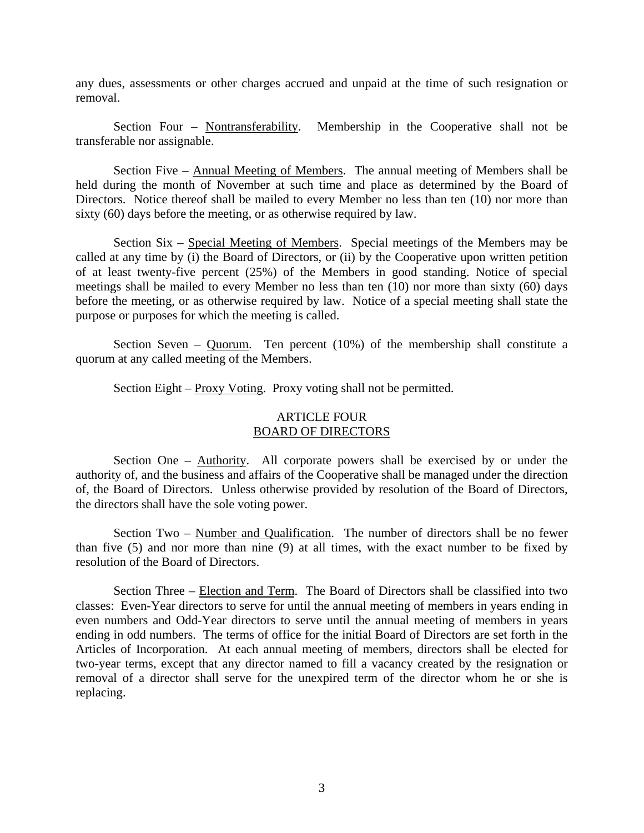any dues, assessments or other charges accrued and unpaid at the time of such resignation or removal.

Section Four – Nontransferability. Membership in the Cooperative shall not be transferable nor assignable.

Section Five – Annual Meeting of Members. The annual meeting of Members shall be held during the month of November at such time and place as determined by the Board of Directors. Notice thereof shall be mailed to every Member no less than ten (10) nor more than sixty (60) days before the meeting, or as otherwise required by law.

Section Six – Special Meeting of Members. Special meetings of the Members may be called at any time by (i) the Board of Directors, or (ii) by the Cooperative upon written petition of at least twenty-five percent (25%) of the Members in good standing. Notice of special meetings shall be mailed to every Member no less than ten (10) nor more than sixty (60) days before the meeting, or as otherwise required by law. Notice of a special meeting shall state the purpose or purposes for which the meeting is called.

Section Seven –  $Quorum$ . Ten percent (10%) of the membership shall constitute a quorum at any called meeting of the Members.

Section Eight – Proxy Voting. Proxy voting shall not be permitted.

### ARTICLE FOUR BOARD OF DIRECTORS

Section One – Authority. All corporate powers shall be exercised by or under the authority of, and the business and affairs of the Cooperative shall be managed under the direction of, the Board of Directors. Unless otherwise provided by resolution of the Board of Directors, the directors shall have the sole voting power.

Section Two – Number and Qualification. The number of directors shall be no fewer than five (5) and nor more than nine (9) at all times, with the exact number to be fixed by resolution of the Board of Directors.

Section Three – Election and Term. The Board of Directors shall be classified into two classes: Even-Year directors to serve for until the annual meeting of members in years ending in even numbers and Odd-Year directors to serve until the annual meeting of members in years ending in odd numbers. The terms of office for the initial Board of Directors are set forth in the Articles of Incorporation. At each annual meeting of members, directors shall be elected for two-year terms, except that any director named to fill a vacancy created by the resignation or removal of a director shall serve for the unexpired term of the director whom he or she is replacing.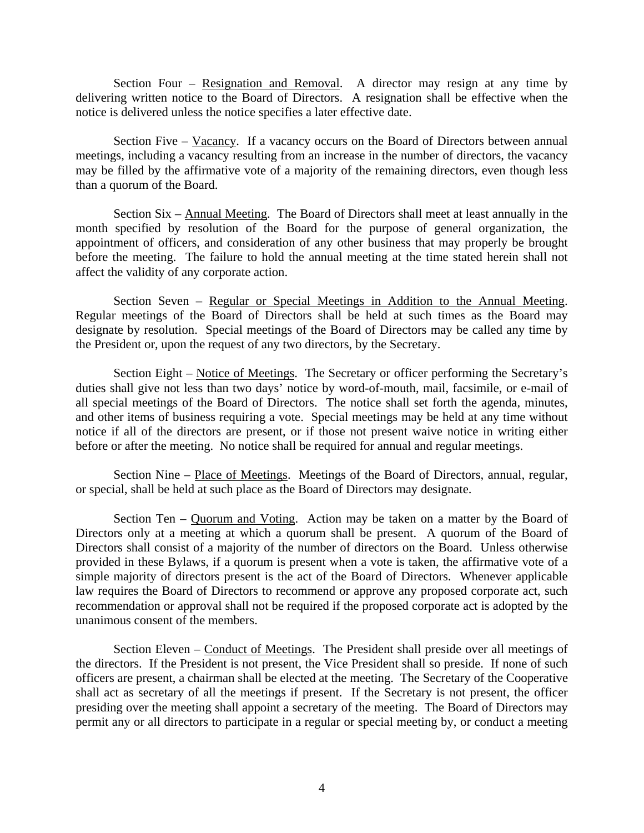Section Four – Resignation and Removal. A director may resign at any time by delivering written notice to the Board of Directors. A resignation shall be effective when the notice is delivered unless the notice specifies a later effective date.

Section Five – Vacancy. If a vacancy occurs on the Board of Directors between annual meetings, including a vacancy resulting from an increase in the number of directors, the vacancy may be filled by the affirmative vote of a majority of the remaining directors, even though less than a quorum of the Board.

Section Six – Annual Meeting. The Board of Directors shall meet at least annually in the month specified by resolution of the Board for the purpose of general organization, the appointment of officers, and consideration of any other business that may properly be brought before the meeting. The failure to hold the annual meeting at the time stated herein shall not affect the validity of any corporate action.

Section Seven – Regular or Special Meetings in Addition to the Annual Meeting. Regular meetings of the Board of Directors shall be held at such times as the Board may designate by resolution. Special meetings of the Board of Directors may be called any time by the President or, upon the request of any two directors, by the Secretary.

Section Eight – Notice of Meetings. The Secretary or officer performing the Secretary's duties shall give not less than two days' notice by word-of-mouth, mail, facsimile, or e-mail of all special meetings of the Board of Directors. The notice shall set forth the agenda, minutes, and other items of business requiring a vote. Special meetings may be held at any time without notice if all of the directors are present, or if those not present waive notice in writing either before or after the meeting. No notice shall be required for annual and regular meetings.

Section Nine – Place of Meetings. Meetings of the Board of Directors, annual, regular, or special, shall be held at such place as the Board of Directors may designate.

Section Ten – Quorum and Voting. Action may be taken on a matter by the Board of Directors only at a meeting at which a quorum shall be present. A quorum of the Board of Directors shall consist of a majority of the number of directors on the Board. Unless otherwise provided in these Bylaws, if a quorum is present when a vote is taken, the affirmative vote of a simple majority of directors present is the act of the Board of Directors. Whenever applicable law requires the Board of Directors to recommend or approve any proposed corporate act, such recommendation or approval shall not be required if the proposed corporate act is adopted by the unanimous consent of the members.

Section Eleven – Conduct of Meetings. The President shall preside over all meetings of the directors. If the President is not present, the Vice President shall so preside. If none of such officers are present, a chairman shall be elected at the meeting. The Secretary of the Cooperative shall act as secretary of all the meetings if present. If the Secretary is not present, the officer presiding over the meeting shall appoint a secretary of the meeting. The Board of Directors may permit any or all directors to participate in a regular or special meeting by, or conduct a meeting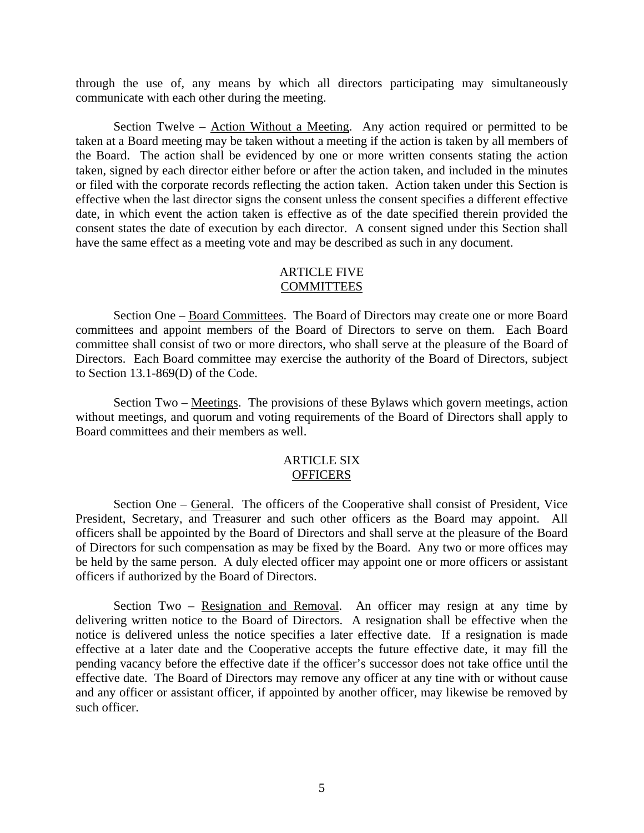through the use of, any means by which all directors participating may simultaneously communicate with each other during the meeting.

Section Twelve – Action Without a Meeting. Any action required or permitted to be taken at a Board meeting may be taken without a meeting if the action is taken by all members of the Board. The action shall be evidenced by one or more written consents stating the action taken, signed by each director either before or after the action taken, and included in the minutes or filed with the corporate records reflecting the action taken. Action taken under this Section is effective when the last director signs the consent unless the consent specifies a different effective date, in which event the action taken is effective as of the date specified therein provided the consent states the date of execution by each director. A consent signed under this Section shall have the same effect as a meeting vote and may be described as such in any document.

## ARTICLE FIVE COMMITTEES

Section One – Board Committees. The Board of Directors may create one or more Board committees and appoint members of the Board of Directors to serve on them. Each Board committee shall consist of two or more directors, who shall serve at the pleasure of the Board of Directors. Each Board committee may exercise the authority of the Board of Directors, subject to Section 13.1-869(D) of the Code.

Section Two – <u>Meetings</u>. The provisions of these Bylaws which govern meetings, action without meetings, and quorum and voting requirements of the Board of Directors shall apply to Board committees and their members as well.

#### ARTICLE SIX **OFFICERS**

Section One – General. The officers of the Cooperative shall consist of President, Vice President, Secretary, and Treasurer and such other officers as the Board may appoint. All officers shall be appointed by the Board of Directors and shall serve at the pleasure of the Board of Directors for such compensation as may be fixed by the Board. Any two or more offices may be held by the same person. A duly elected officer may appoint one or more officers or assistant officers if authorized by the Board of Directors.

Section Two – Resignation and Removal. An officer may resign at any time by delivering written notice to the Board of Directors. A resignation shall be effective when the notice is delivered unless the notice specifies a later effective date. If a resignation is made effective at a later date and the Cooperative accepts the future effective date, it may fill the pending vacancy before the effective date if the officer's successor does not take office until the effective date. The Board of Directors may remove any officer at any tine with or without cause and any officer or assistant officer, if appointed by another officer, may likewise be removed by such officer.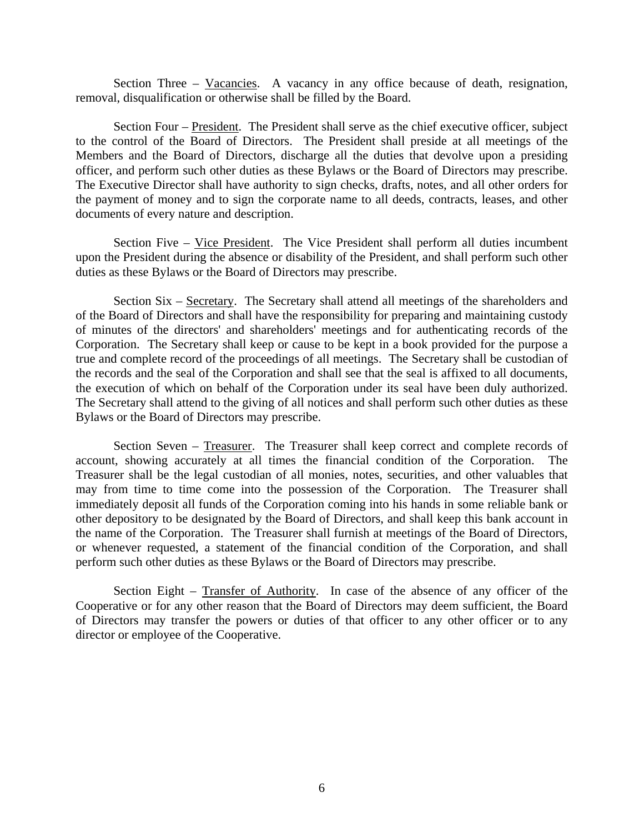Section Three – Vacancies. A vacancy in any office because of death, resignation, removal, disqualification or otherwise shall be filled by the Board.

Section Four – President. The President shall serve as the chief executive officer, subject to the control of the Board of Directors. The President shall preside at all meetings of the Members and the Board of Directors, discharge all the duties that devolve upon a presiding officer, and perform such other duties as these Bylaws or the Board of Directors may prescribe. The Executive Director shall have authority to sign checks, drafts, notes, and all other orders for the payment of money and to sign the corporate name to all deeds, contracts, leases, and other documents of every nature and description.

Section Five – Vice President. The Vice President shall perform all duties incumbent upon the President during the absence or disability of the President, and shall perform such other duties as these Bylaws or the Board of Directors may prescribe.

Section Six – Secretary. The Secretary shall attend all meetings of the shareholders and of the Board of Directors and shall have the responsibility for preparing and maintaining custody of minutes of the directors' and shareholders' meetings and for authenticating records of the Corporation. The Secretary shall keep or cause to be kept in a book provided for the purpose a true and complete record of the proceedings of all meetings. The Secretary shall be custodian of the records and the seal of the Corporation and shall see that the seal is affixed to all documents, the execution of which on behalf of the Corporation under its seal have been duly authorized. The Secretary shall attend to the giving of all notices and shall perform such other duties as these Bylaws or the Board of Directors may prescribe.

Section Seven – Treasurer. The Treasurer shall keep correct and complete records of account, showing accurately at all times the financial condition of the Corporation. The Treasurer shall be the legal custodian of all monies, notes, securities, and other valuables that may from time to time come into the possession of the Corporation. The Treasurer shall immediately deposit all funds of the Corporation coming into his hands in some reliable bank or other depository to be designated by the Board of Directors, and shall keep this bank account in the name of the Corporation. The Treasurer shall furnish at meetings of the Board of Directors, or whenever requested, a statement of the financial condition of the Corporation, and shall perform such other duties as these Bylaws or the Board of Directors may prescribe.

Section Eight – Transfer of Authority. In case of the absence of any officer of the Cooperative or for any other reason that the Board of Directors may deem sufficient, the Board of Directors may transfer the powers or duties of that officer to any other officer or to any director or employee of the Cooperative.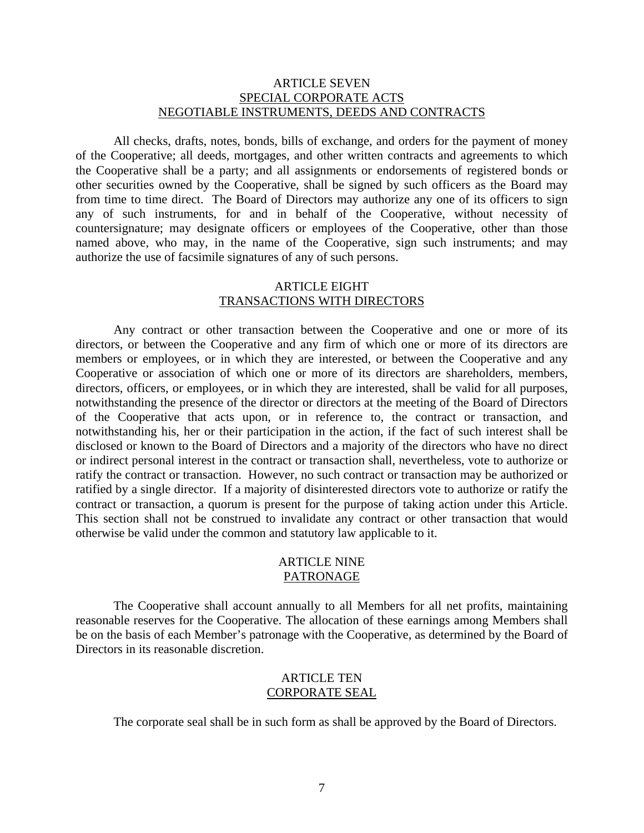#### ARTICLE SEVEN SPECIAL CORPORATE ACTS NEGOTIABLE INSTRUMENTS, DEEDS AND CONTRACTS

All checks, drafts, notes, bonds, bills of exchange, and orders for the payment of money of the Cooperative; all deeds, mortgages, and other written contracts and agreements to which the Cooperative shall be a party; and all assignments or endorsements of registered bonds or other securities owned by the Cooperative, shall be signed by such officers as the Board may from time to time direct. The Board of Directors may authorize any one of its officers to sign any of such instruments, for and in behalf of the Cooperative, without necessity of countersignature; may designate officers or employees of the Cooperative, other than those named above, who may, in the name of the Cooperative, sign such instruments; and may authorize the use of facsimile signatures of any of such persons.

#### ARTICLE EIGHT TRANSACTIONS WITH DIRECTORS

Any contract or other transaction between the Cooperative and one or more of its directors, or between the Cooperative and any firm of which one or more of its directors are members or employees, or in which they are interested, or between the Cooperative and any Cooperative or association of which one or more of its directors are shareholders, members, directors, officers, or employees, or in which they are interested, shall be valid for all purposes, notwithstanding the presence of the director or directors at the meeting of the Board of Directors of the Cooperative that acts upon, or in reference to, the contract or transaction, and notwithstanding his, her or their participation in the action, if the fact of such interest shall be disclosed or known to the Board of Directors and a majority of the directors who have no direct or indirect personal interest in the contract or transaction shall, nevertheless, vote to authorize or ratify the contract or transaction. However, no such contract or transaction may be authorized or ratified by a single director. If a majority of disinterested directors vote to authorize or ratify the contract or transaction, a quorum is present for the purpose of taking action under this Article. This section shall not be construed to invalidate any contract or other transaction that would otherwise be valid under the common and statutory law applicable to it.

#### ARTICLE NINE PATRONAGE

The Cooperative shall account annually to all Members for all net profits, maintaining reasonable reserves for the Cooperative. The allocation of these earnings among Members shall be on the basis of each Member's patronage with the Cooperative, as determined by the Board of Directors in its reasonable discretion.

#### ARTICLE TEN CORPORATE SEAL

The corporate seal shall be in such form as shall be approved by the Board of Directors.